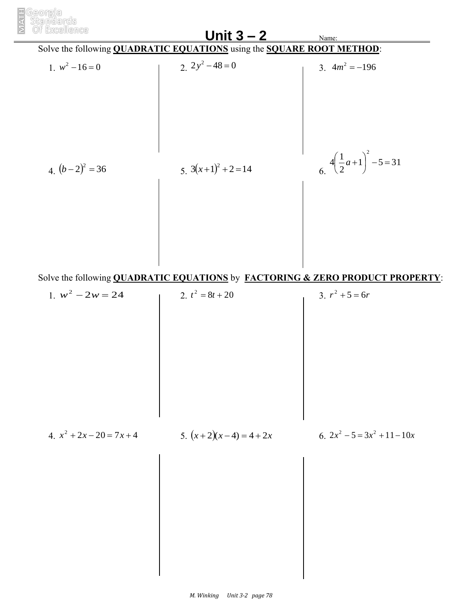

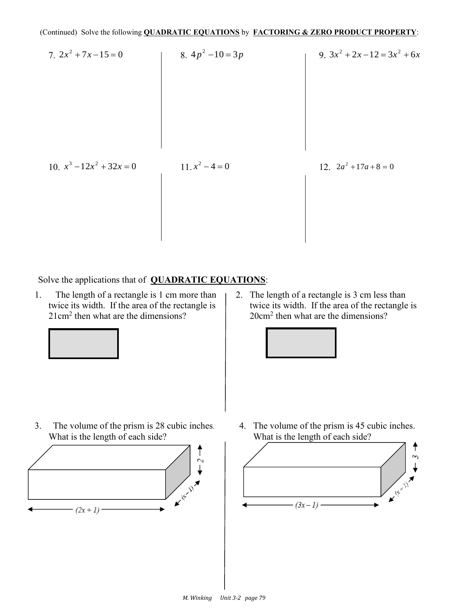7. 
$$
2x^2 + 7x - 15 = 0
$$
  
\n8.  $4p^2 - 10 = 3p$   
\n9.  $3x^2 + 2x - 12 = 3x^2 + 6x$   
\n10.  $x^3 - 12x^2 + 32x = 0$   
\n11.  $x^2 - 4 = 0$   
\n12.  $2a^2 + 17a + 8 = 0$ 

Solve the applications that of **QUADRATIC EQUATIONS**:

1. The length of a rectangle is 1 cm more than twice its width. If the area of the rectangle is  $21 \text{cm}^2$  then what are the dimensions?



2. The length of a rectangle is 3 cm less than twice its width. If the area of the rectangle is 20cm<sup>2</sup> then what are the dimensions?



3. The volume of the prism is 28 cubic inches. What is the length of each side?



4. The volume of the prism is 45 cubic inches. What is the length of each side?